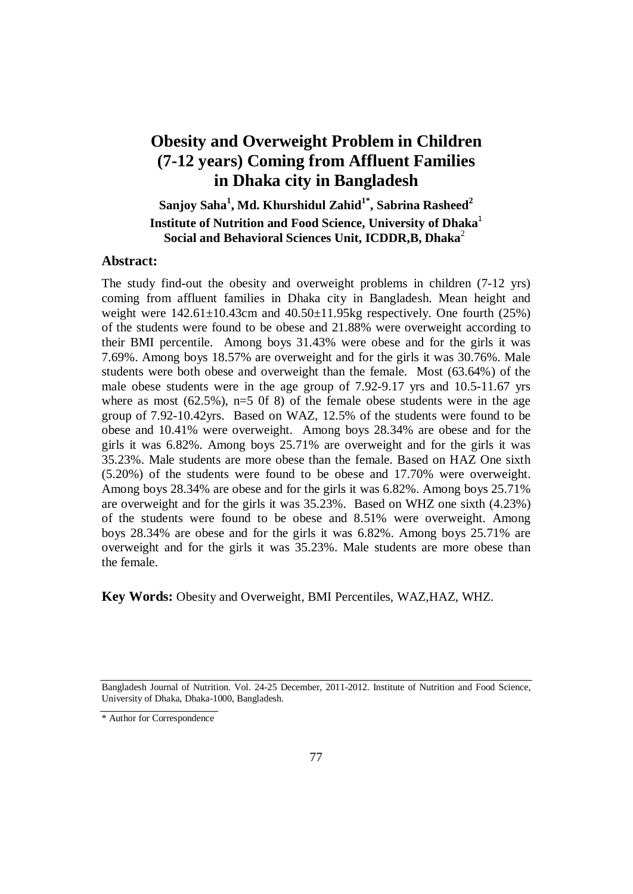# **Obesity and Overweight Problem in Children (7-12 years) Coming from Affluent Families in Dhaka city in Bangladesh**

 $\mathbf{S}$ anjoy  $\mathbf{Saha}^1,\mathbf{Md}$ .  $\mathbf{Khurshidul Zahid}^{1*},\mathbf{Sabrina Rasheed}^{2*}$ **Institute of Nutrition and Food Science, University of Dhaka**<sup>1</sup> **Social and Behavioral Sciences Unit, ICDDR,B, Dhaka**<sup>2</sup>

# **Abstract:**

The study find-out the obesity and overweight problems in children (7-12 yrs) coming from affluent families in Dhaka city in Bangladesh. Mean height and weight were  $142.61 \pm 10.43$ cm and  $40.50 \pm 11.95$ kg respectively. One fourth (25%) of the students were found to be obese and 21.88% were overweight according to their BMI percentile. Among boys 31.43% were obese and for the girls it was 7.69%. Among boys 18.57% are overweight and for the girls it was 30.76%. Male students were both obese and overweight than the female. Most (63.64%) of the male obese students were in the age group of 7.92-9.17 yrs and 10.5-11.67 yrs where as most  $(62.5\%)$ , n=5 0f 8) of the female obese students were in the age group of 7.92-10.42yrs. Based on WAZ, 12.5% of the students were found to be obese and 10.41% were overweight. Among boys 28.34% are obese and for the girls it was 6.82%. Among boys 25.71% are overweight and for the girls it was 35.23%. Male students are more obese than the female. Based on HAZ One sixth (5.20%) of the students were found to be obese and 17.70% were overweight. Among boys 28.34% are obese and for the girls it was 6.82%. Among boys 25.71% are overweight and for the girls it was 35.23%. Based on WHZ one sixth (4.23%) of the students were found to be obese and 8.51% were overweight. Among boys 28.34% are obese and for the girls it was 6.82%. Among boys 25.71% are overweight and for the girls it was 35.23%. Male students are more obese than the female.

**Key Words:** Obesity and Overweight, BMI Percentiles, WAZ,HAZ, WHZ.

Bangladesh Journal of Nutrition. Vol. 24-25 December, 2011-2012. Institute of Nutrition and Food Science, University of Dhaka, Dhaka-1000, Bangladesh.

<sup>\*</sup> Author for Correspondence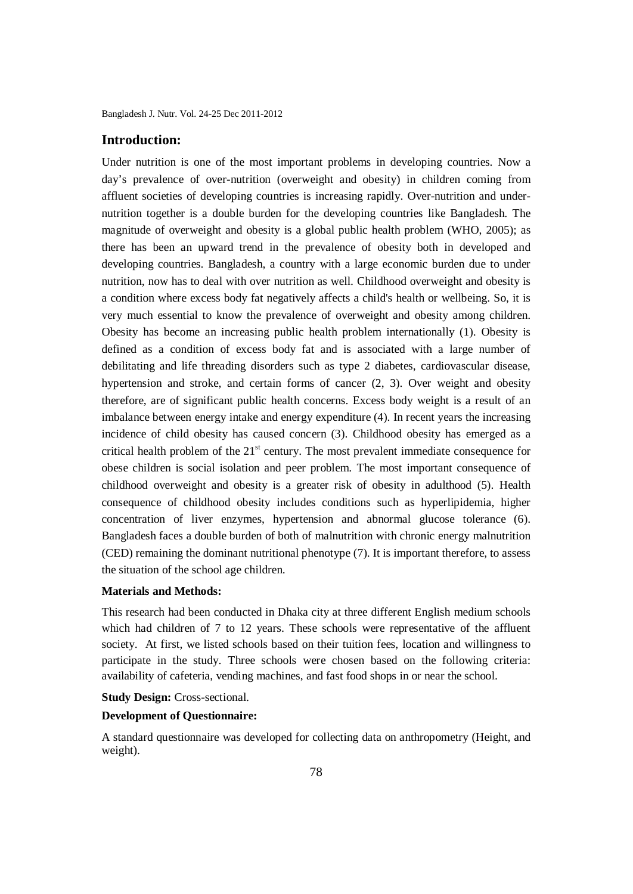Bangladesh J. Nutr. Vol. 24-25 Dec 2011-2012

## **Introduction:**

Under nutrition is one of the most important problems in developing countries. Now a day's prevalence of over-nutrition (overweight and obesity) in children coming from affluent societies of developing countries is increasing rapidly. Over-nutrition and undernutrition together is a double burden for the developing countries like Bangladesh. The magnitude of overweight and obesity is a global public health problem (WHO, 2005); as there has been an upward trend in the prevalence of obesity both in developed and developing countries. Bangladesh, a country with a large economic burden due to under nutrition, now has to deal with over nutrition as well. Childhood overweight and obesity is a condition where excess body fat negatively affects a child's health or wellbeing. So, it is very much essential to know the prevalence of overweight and obesity among children. Obesity has become an increasing public health problem internationally (1). Obesity is defined as a condition of excess body fat and is associated with a large number of debilitating and life threading disorders such as type 2 diabetes, cardiovascular disease, hypertension and stroke, and certain forms of cancer (2, 3). Over weight and obesity therefore, are of significant public health concerns. Excess body weight is a result of an imbalance between energy intake and energy expenditure (4). In recent years the increasing incidence of child obesity has caused concern (3). Childhood obesity has emerged as a critical health problem of the  $21<sup>st</sup>$  century. The most prevalent immediate consequence for obese children is social isolation and peer problem. The most important consequence of childhood overweight and obesity is a greater risk of obesity in adulthood (5). Health consequence of childhood obesity includes conditions such as hyperlipidemia, higher concentration of liver enzymes, hypertension and abnormal glucose tolerance (6). Bangladesh faces a double burden of both of malnutrition with chronic energy malnutrition (CED) remaining the dominant nutritional phenotype (7). It is important therefore, to assess the situation of the school age children.

## **Materials and Methods:**

This research had been conducted in Dhaka city at three different English medium schools which had children of 7 to 12 years. These schools were representative of the affluent society. At first, we listed schools based on their tuition fees, location and willingness to participate in the study. Three schools were chosen based on the following criteria: availability of cafeteria, vending machines, and fast food shops in or near the school.

#### **Study Design: Cross-sectional.**

## **Development of Questionnaire:**

A standard questionnaire was developed for collecting data on anthropometry (Height, and weight).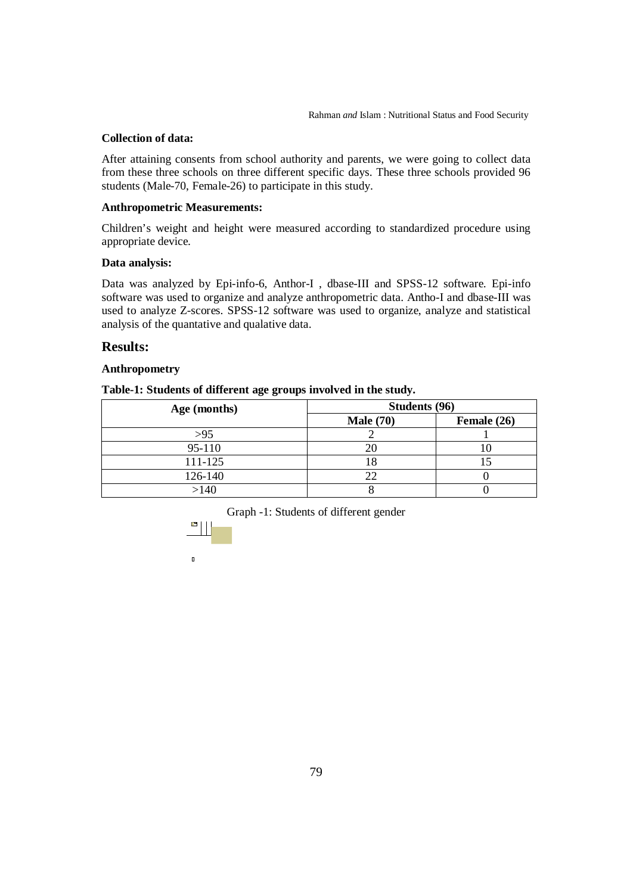# **Collection of data:**

After attaining consents from school authority and parents, we were going to collect data from these three schools on three different specific days. These three schools provided 96 students (Male-70, Female-26) to participate in this study.

## **Anthropometric Measurements:**

Children's weight and height were measured according to standardized procedure using appropriate device.

## **Data analysis:**

Data was analyzed by Epi-info-6, Anthor-I , dbase-III and SPSS-12 software. Epi-info software was used to organize and analyze anthropometric data. Antho-I and dbase-III was used to analyze Z-scores. SPSS-12 software was used to organize, analyze and statistical analysis of the quantative and qualative data.

# **Results:**

## **Anthropometry**

| Age (months) | Students (96)    |             |  |
|--------------|------------------|-------------|--|
|              | <b>Male</b> (70) | Female (26) |  |
| >95          |                  |             |  |
| 95-110       |                  |             |  |
| 111-125      |                  |             |  |
| 126-140      | 22               |             |  |
| >140         |                  |             |  |

Graph -1: Students of different gender



 $\mathbf{u}$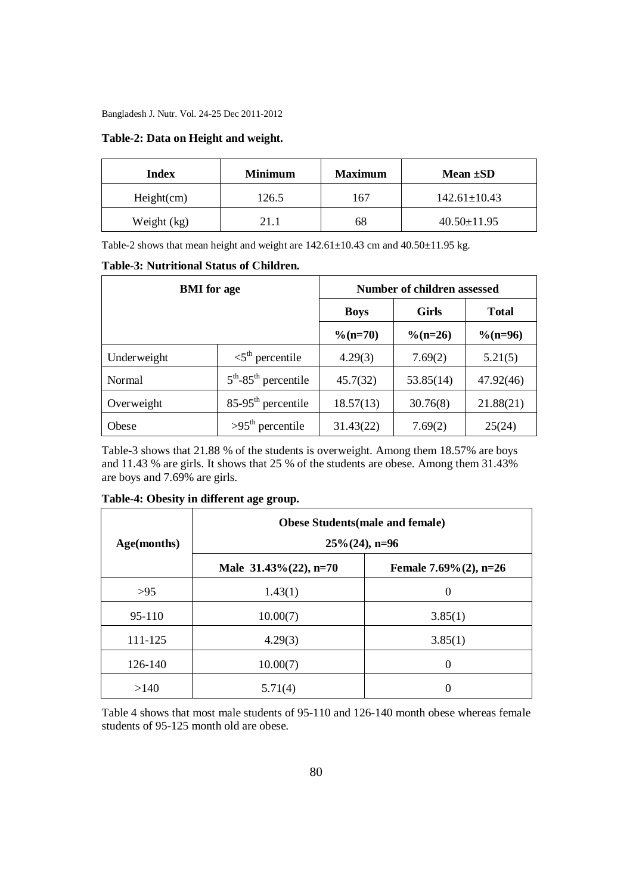Bangladesh J. Nutr. Vol. 24-25 Dec 2011-2012

## **Table-2: Data on Height and weight.**

| Index       | <b>Minimum</b> | <b>Maximum</b> | Mean $\pm SD$      |
|-------------|----------------|----------------|--------------------|
| Height(cm)  | 126.5          | 167            | $142.61 \pm 10.43$ |
| Weight (kg) | 21.1           | 68             | $40.50 \pm 11.95$  |

Table-2 shows that mean height and weight are 142.61±10.43 cm and 40.50±11.95 kg.

#### **Table-3: Nutritional Status of Children.**

| <b>BMI</b> for age |                                    | Number of children assessed |              |              |  |
|--------------------|------------------------------------|-----------------------------|--------------|--------------|--|
|                    |                                    | <b>Boys</b>                 | <b>Girls</b> | <b>Total</b> |  |
|                    |                                    | $\%$ (n=70)                 | $\%$ (n=26)  | $\%$ (n=96)  |  |
| Underweight        | $\leq 5^{\text{th}}$ percentile    | 4.29(3)                     | 7.69(2)      | 5.21(5)      |  |
| Normal             | $5th$ -85 <sup>th</sup> percentile | 45.7(32)                    | 53.85(14)    | 47.92(46)    |  |
| Overweight         | $85-95th$ percentile               | 18.57(13)                   | 30.76(8)     | 21.88(21)    |  |
| Obese              | $>95th$ percentile                 | 31.43(22)                   | 7.69(2)      | 25(24)       |  |

Table-3 shows that 21.88 % of the students is overweight. Among them 18.57% are boys and 11.43 % are girls. It shows that 25 % of the students are obese. Among them 31.43% are boys and 7.69% are girls.

| Age(months) | <b>Obese Students (male and female)</b><br>$25\% (24)$ , n=96 |                           |  |
|-------------|---------------------------------------------------------------|---------------------------|--|
|             | Male $31.43\%(22)$ , n=70                                     | Female 7.69% $(2)$ , n=26 |  |
| >95         | 1.43(1)                                                       | 0                         |  |
| 95-110      | 10.00(7)                                                      | 3.85(1)                   |  |
| 111-125     | 4.29(3)                                                       | 3.85(1)                   |  |
| 126-140     | 10.00(7)                                                      | 0                         |  |
| >140        | 5.71(4)                                                       |                           |  |

## **Table-4: Obesity in different age group.**

Table 4 shows that most male students of 95-110 and 126-140 month obese whereas female students of 95-125 month old are obese.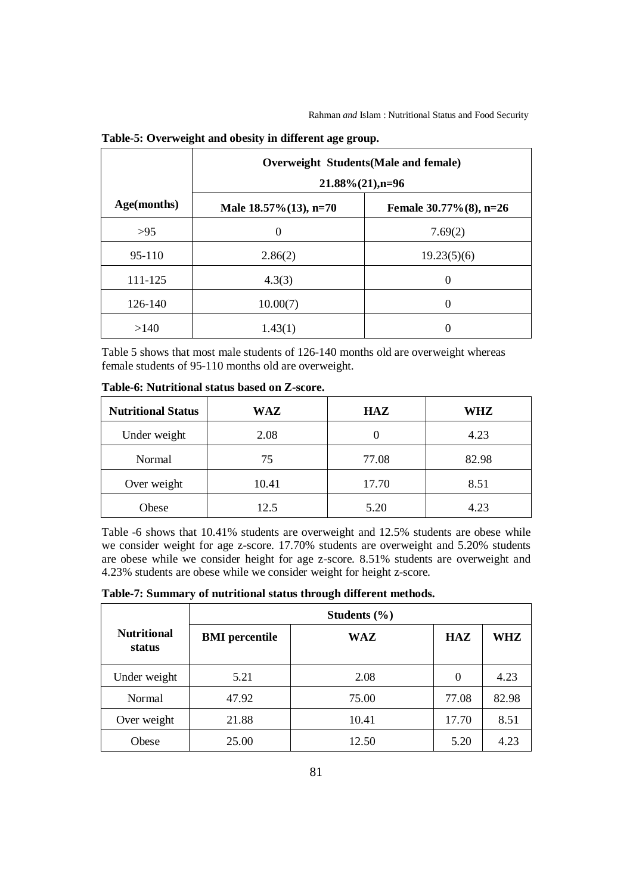|             | Overweight Students (Male and female)<br>$21.88\% (21)$ , n=96 |                            |  |
|-------------|----------------------------------------------------------------|----------------------------|--|
| Age(months) | Male $18.57\%$ (13), n=70                                      | Female $30.77\%$ (8), n=26 |  |
| >95         | $\theta$                                                       | 7.69(2)                    |  |
| $95-110$    | 2.86(2)                                                        | 19.23(5)(6)                |  |
| 111-125     | 4.3(3)                                                         | 0                          |  |
| 126-140     | 10.00(7)                                                       | 0                          |  |
| >140        | 1.43(1)                                                        |                            |  |

#### **Table-5: Overweight and obesity in different age group.**

Table 5 shows that most male students of 126-140 months old are overweight whereas female students of 95-110 months old are overweight.

| <b>Nutritional Status</b> | WAZ   | <b>HAZ</b> | WHZ   |
|---------------------------|-------|------------|-------|
| Under weight              | 2.08  |            | 4.23  |
| Normal                    | 75    | 77.08      | 82.98 |
| Over weight               | 10.41 | 17.70      | 8.51  |
| Obese                     | 12.5  | 5.20       | 4.23  |

**Table-6: Nutritional status based on Z-score.**

Table -6 shows that 10.41% students are overweight and 12.5% students are obese while we consider weight for age z-score. 17.70% students are overweight and 5.20% students are obese while we consider height for age z-score. 8.51% students are overweight and 4.23% students are obese while we consider weight for height z-score.

**Table-7: Summary of nutritional status through different methods.**

|                              | Students $(\% )$      |       |            |       |
|------------------------------|-----------------------|-------|------------|-------|
| <b>Nutritional</b><br>status | <b>BMI</b> percentile | WAZ   | <b>HAZ</b> | WHZ   |
| Under weight                 | 5.21                  | 2.08  | $\Omega$   | 4.23  |
| Normal                       | 47.92                 | 75.00 | 77.08      | 82.98 |
| Over weight                  | 21.88                 | 10.41 | 17.70      | 8.51  |
| Obese                        | 25.00                 | 12.50 | 5.20       | 4.23  |